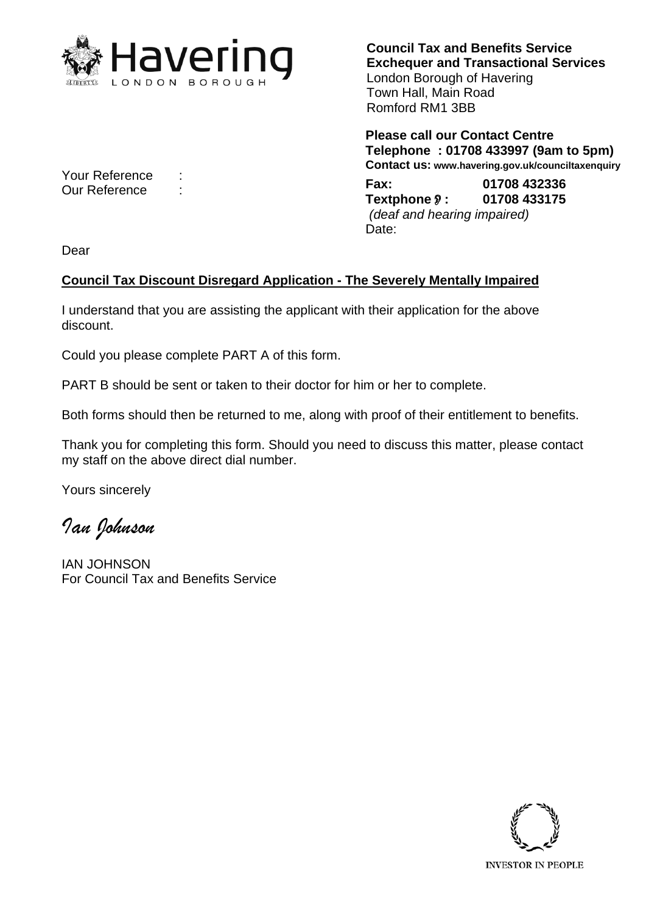

**Council Tax and Benefits Service Exchequer and Transactional Services**  London Borough of Havering Town Hall, Main Road Romford RM1 3BB

**Please call our Contact Centre Telephone : 01708 433997 (9am to 5pm) Contact us: www.havering.gov.uk/counciltaxenquiry** 

Your Reference : **Fax: 01708 432336** Our Reference : **Textphone: 01708 433175**  *(deaf and hearing impaired)*  Date:

Dear

## **Council Tax Discount Disregard Application - The Severely Mentally Impaired**

I understand that you are assisting the applicant with their application for the above discount.

Could you please complete PART A of this form.

PART B should be sent or taken to their doctor for him or her to complete.

Both forms should then be returned to me, along with proof of their entitlement to benefits.

Thank you for completing this form. Should you need to discuss this matter, please contact my staff on the above direct dial number.

Yours sincerely

*Ian Johnson* 

IAN JOHNSON For Council Tax and Benefits Service

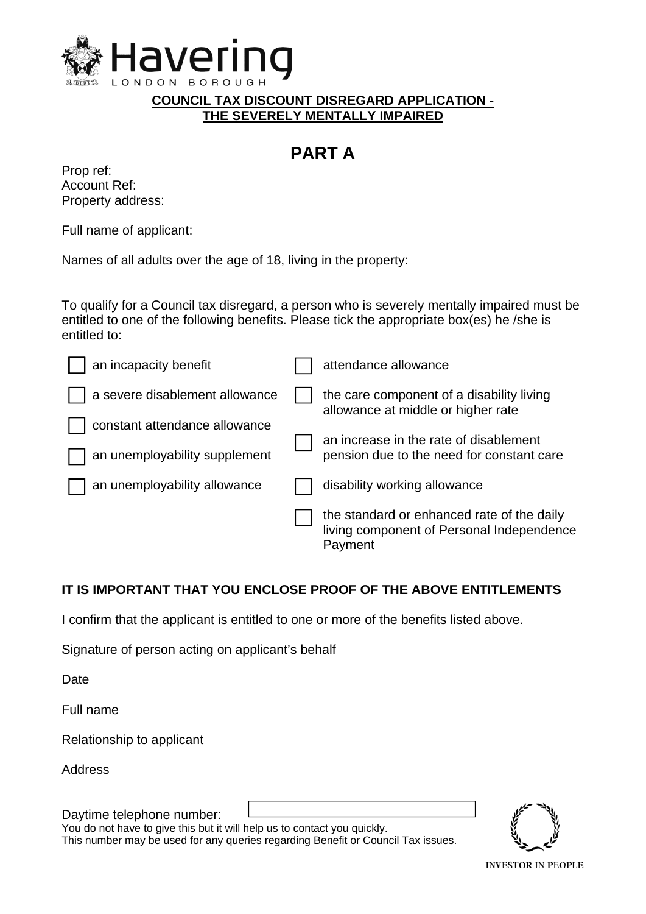

**COUNCIL TAX DISCOUNT DISREGARD APPLICATION - THE SEVERELY MENTALLY IMPAIRED** 

## **PART A**

| Prop ref:         |
|-------------------|
| Account Ref:      |
| Property address: |

Full name of applicant:

Names of all adults over the age of 18, living in the property:

To qualify for a Council tax disregard, a person who is severely mentally impaired must be entitled to one of the following benefits. Please tick the appropriate box(es) he /she is entitled to:

| an incapacity benefit          |  | attendance allowance                                                                               |
|--------------------------------|--|----------------------------------------------------------------------------------------------------|
| a severe disablement allowance |  | the care component of a disability living<br>allowance at middle or higher rate                    |
| constant attendance allowance  |  | an increase in the rate of disablement                                                             |
| an unemployability supplement  |  | pension due to the need for constant care                                                          |
| an unemployability allowance   |  | disability working allowance                                                                       |
|                                |  | the standard or enhanced rate of the daily<br>living component of Personal Independence<br>Payment |

## **IT IS IMPORTANT THAT YOU ENCLOSE PROOF OF THE ABOVE ENTITLEMENTS**

I confirm that the applicant is entitled to one or more of the benefits listed above.

Signature of person acting on applicant's behalf

Date

Full name

Relationship to applicant

Address

Daytime telephone number:

You do not have to give this but it will help us to contact you quickly. This number may be used for any queries regarding Benefit or Council Tax issues.



**INVESTOR IN PEOPLE**